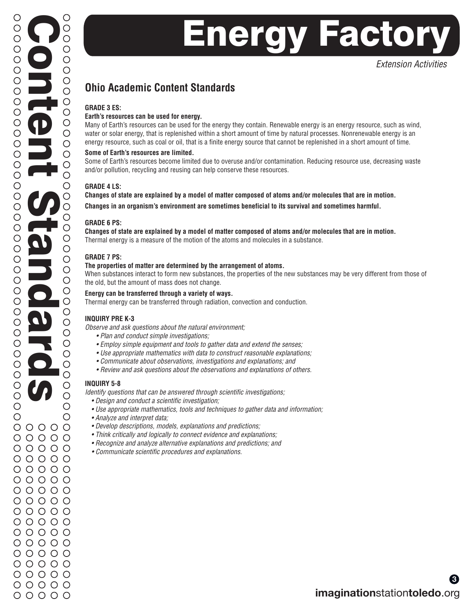*Extension Activities*

### **Ohio Academic Content Standards**

#### **GRADE 3 ES:**

#### **Earth's resources can be used for energy.**

Many of Earth's resources can be used for the energy they contain. Renewable energy is an energy resource, such as wind, water or solar energy, that is replenished within a short amount of time by natural processes. Nonrenewable energy is an energy resource, such as coal or oil, that is a finite energy source that cannot be replenished in a short amount of time.

#### **Some of Earth's resources are limited.**

Some of Earth's resources become limited due to overuse and/or contamination. Reducing resource use, decreasing waste and/or pollution, recycling and reusing can help conserve these resources.

#### **GRADE 4 LS:**

**Changes of state are explained by a model of matter composed of atoms and/or molecules that are in motion. Changes in an organism's environment are sometimes beneficial to its survival and sometimes harmful.**

#### **GRADE 6 PS:**

**Changes of state are explained by a model of matter composed of atoms and/or molecules that are in motion.** Thermal energy is a measure of the motion of the atoms and molecules in a substance.

#### **GRADE 7 PS:**

#### **The properties of matter are determined by the arrangement of atoms.**

When substances interact to form new substances, the properties of the new substances may be very different from those of the old, but the amount of mass does not change.

#### **Energy can be transferred through a variety of ways.**

Thermal energy can be transferred through radiation, convection and conduction.

#### **INQUIRY PRE K-3**

*Observe and ask questions about the natural environment;* 

- *Plan and conduct simple investigations;*
- *Employ simple equipment and tools to gather data and extend the senses;*
- *Use appropriate mathematics with data to construct reasonable explanations;*
- *Communicate about observations, investigations and explanations; and*
- *Review and ask questions about the observations and explanations of others.*

#### **INQUIRY 5-8**

*Identify questions that can be answered through scientific investigations;*

- *Design and conduct a scientific investigation;*
- *Use appropriate mathematics, tools and techniques to gather data and information;*
- *Analyze and interpret data;*
- *Develop descriptions, models, explanations and predictions;*
- *Think critically and logically to connect evidence and explanations;*
- *Recognize and analyze alternative explanations and predictions; and*
- *Communicate scientific procedures and explanations.*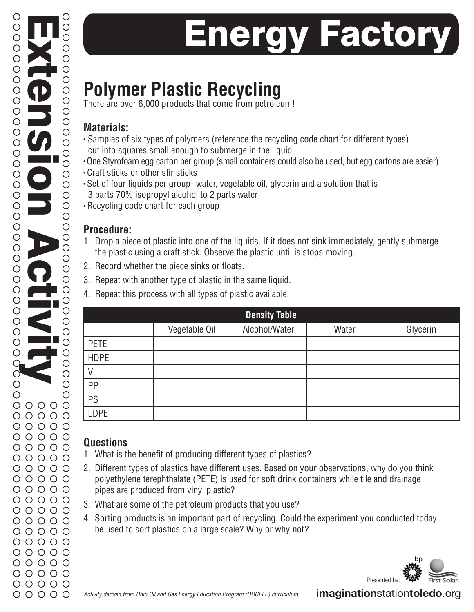# **Polymer Plastic Recycling**

There are over 6,000 products that come from petroleum!

### **Materials:**

- Samples of six types of polymers (reference the recycling code chart for different types) cut into squares small enough to submerge in the liquid
- One Styrofoam egg carton per group (small containers could also be used, but egg cartons are easier)
- Craft sticks or other stir sticks
- Set of four liquids per group- water, vegetable oil, glycerin and a solution that is 3 parts 70% isopropyl alcohol to 2 parts water
- Recycling code chart for each group

### **Procedure:**

- 1. Drop a piece of plastic into one of the liquids. If it does not sink immediately, gently submerge the plastic using a craft stick. Observe the plastic until is stops moving.
- 2. Record whether the piece sinks or floats.
- 3. Repeat with another type of plastic in the same liquid.
- 4. Repeat this process with all types of plastic available.

| <b>Density Table</b> |               |               |       |          |  |  |
|----------------------|---------------|---------------|-------|----------|--|--|
|                      | Vegetable Oil | Alcohol/Water | Water | Glycerin |  |  |
| <b>PETE</b>          |               |               |       |          |  |  |
| <b>HDPE</b>          |               |               |       |          |  |  |
|                      |               |               |       |          |  |  |
| PP                   |               |               |       |          |  |  |
| PS                   |               |               |       |          |  |  |
| LDPE                 |               |               |       |          |  |  |

## **Questions**

- 1. What is the benefit of producing different types of plastics?
- 2. Different types of plastics have different uses. Based on your observations, why do you think polyethylene terephthalate (PETE) is used for soft drink containers while tile and drainage pipes are produced from vinyl plastic?
- 3. What are some of the petroleum products that you use?
- 4. Sorting products is an important part of recycling. Could the experiment you conducted today be used to sort plastics on a large scale? Why or why not?



**imagination**station**toledo**.org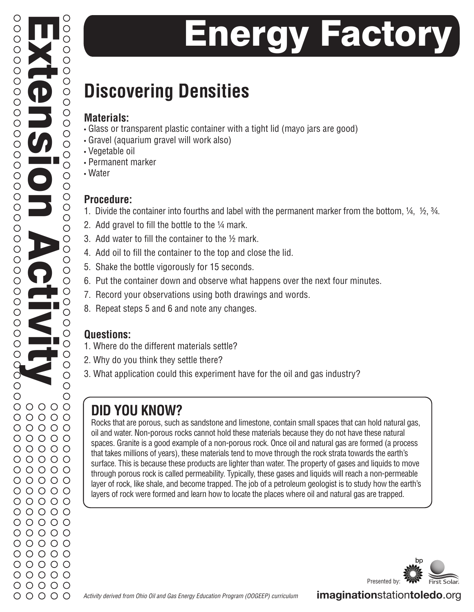# **Discovering Densities**

## **Materials:**

- Glass or transparent plastic container with a tight lid (mayo jars are good)
- Gravel (aquarium gravel will work also)
- Vegetable oil
- Permanent marker
- Water

## **Procedure:**

- 1. Divide the container into fourths and label with the permanent marker from the bottom, ¼, ½, ¾.
- 2. Add gravel to fill the bottle to the ¼ mark.
- 3. Add water to fill the container to the ½ mark.
- 4. Add oil to fill the container to the top and close the lid.
- 5. Shake the bottle vigorously for 15 seconds.
- 6. Put the container down and observe what happens over the next four minutes.
- 7. Record your observations using both drawings and words.
- 8. Repeat steps 5 and 6 and note any changes.

## **Questions:**

- 1. Where do the different materials settle?
- 2. Why do you think they settle there?
- 3. What application could this experiment have for the oil and gas industry?

## **DID YOU KNOW?**

Rocks that are porous, such as sandstone and limestone, contain small spaces that can hold natural gas, oil and water. Non-porous rocks cannot hold these materials because they do not have these natural spaces. Granite is a good example of a non-porous rock. Once oil and natural gas are formed (a process that takes millions of years), these materials tend to move through the rock strata towards the earth's surface. This is because these products are lighter than water. The property of gases and liquids to move through porous rock is called permeability. Typically, these gases and liquids will reach a non-permeable layer of rock, like shale, and become trapped. The job of a petroleum geologist is to study how the earth's layers of rock were formed and learn how to locate the places where oil and natural gas are trapped.

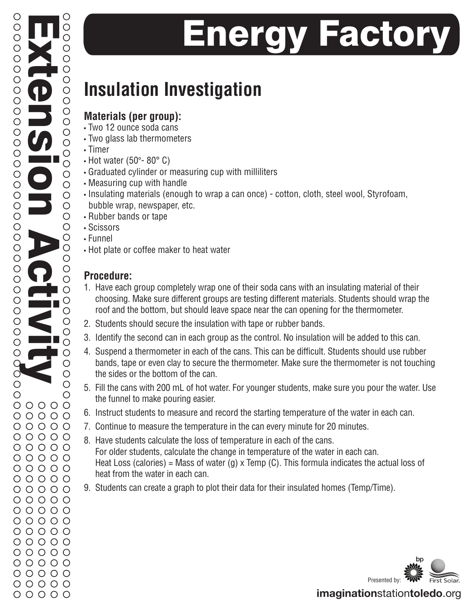# **Insulation Investigation**

## **Materials (per group):**

- Two 12 ounce soda cans
- Two glass lab thermometers
- Timer
- Hot water (50 $\degree$  80 $\degree$  C)
- Graduated cylinder or measuring cup with milliliters
- Measuring cup with handle
- Insulating materials (enough to wrap a can once) cotton, cloth, steel wool, Styrofoam, bubble wrap, newspaper, etc.
- Rubber bands or tape
- Scissors
- Funnel

Extension Activity

 $\bigcirc$ 

 $\bigcirc$ 

 $\circ$  $\circ$ 

 $\bigcirc$ 

 $\circ$ 

 $\bigcirc$ 

 $\circ$ 

 $\bigcirc$  $\bigcirc$ 

 $\bigcirc$ 

 $\bigcirc$  $\circ$ 

 $\circ$ 

 $\overline{O}$ 

 $\begin{array}{c}\n0 \\
0\n\end{array}$ 

 $\circ$ 

 $\circ$ 

 $\circ$ 

 $\circ$ 

 $\begin{array}{c}\n0 \\
0\n\end{array}$ 

 $\circ$ 

 $\circ$ 

 $\circ$ 

 $\circ$ 

 $\bigcirc$ 

 $\circ$ 

 $\bigcirc$ 

 $\bigcirc$ 

 $\bigcirc$ 

 $\bigcirc$ 

 $\bigcirc$ 

 $\begin{array}{ccc} \circ & \circ & \circ & \circ & \circ \end{array}$  $00000$  $00000$  $00000$ 

О

O  $\bigcirc$ 

 $\bigcirc$ 

 $\bigcirc$ 

 $\bigcirc$ 

 $\bigcirc$ 

 $\bigcirc$  $\bigcirc$ 

 $\circ$  $\circ$ 

 $\circ$ 

 $\circ$ 

 $\bigcirc$ 

 $\bigcirc$ 

 $\bigcirc$  $\circ$ 

 $\circ$ 

 $\bigcirc$ 

 $\bigcirc$ 

 $\bigcirc$ 

 $\bigcirc$  $\bigcirc$  $\bigcirc$ 

 $\bigcirc$ 

 $\bigcirc$ 

 $\bigcirc$ 

 $\circ$ 

 $\circ$ 

 $\bigcirc$ 

 $\bigcirc$ 

 $\bigcirc$ 

 $\bigcirc$ O  $\bigcirc$ 

 $\bigcirc$ 

 $\bigcirc$ 

• Hot plate or coffee maker to heat water

### **Procedure:**

- 1. Have each group completely wrap one of their soda cans with an insulating material of their choosing. Make sure different groups are testing different materials. Students should wrap the roof and the bottom, but should leave space near the can opening for the thermometer.
- 2. Students should secure the insulation with tape or rubber bands.
- 3. Identify the second can in each group as the control. No insulation will be added to this can.
- 4. Suspend a thermometer in each of the cans. This can be difficult. Students should use rubber bands, tape or even clay to secure the thermometer. Make sure the thermometer is not touching the sides or the bottom of the can.
- 5. Fill the cans with 200 mL of hot water. For younger students, make sure you pour the water. Use the funnel to make pouring easier.
- 6. Instruct students to measure and record the starting temperature of the water in each can.
- 7. Continue to measure the temperature in the can every minute for 20 minutes.
- 8. Have students calculate the loss of temperature in each of the cans. For older students, calculate the change in temperature of the water in each can. Heat Loss (calories) = Mass of water (g) x Temp (C). This formula indicates the actual loss of heat from the water in each can.
- 9. Students can create a graph to plot their data for their insulated homes (Temp/Time).

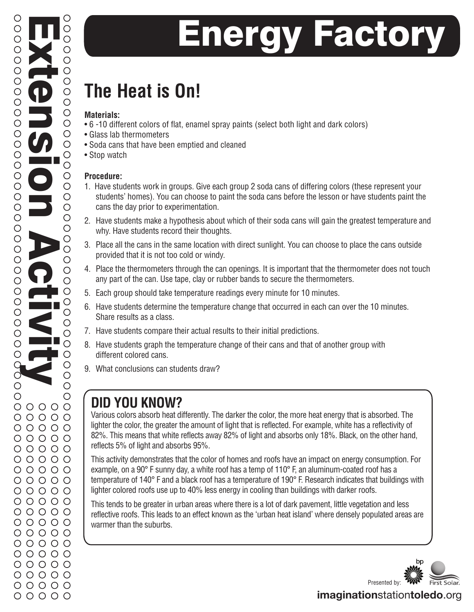# **The Heat is On!**

#### **Materials:**

- 6 -10 different colors of flat, enamel spray paints (select both light and dark colors)
- Glass lab thermometers
- Soda cans that have been emptied and cleaned
- Stop watch

### **Procedure:**

- 1. Have students work in groups. Give each group 2 soda cans of differing colors (these represent your students' homes). You can choose to paint the soda cans before the lesson or have students paint the cans the day prior to experimentation.
- 2. Have students make a hypothesis about which of their soda cans will gain the greatest temperature and why. Have students record their thoughts.
- 3. Place all the cans in the same location with direct sunlight. You can choose to place the cans outside provided that it is not too cold or windy.
- 4. Place the thermometers through the can openings. It is important that the thermometer does not touch any part of the can. Use tape, clay or rubber bands to secure the thermometers.
- 5. Each group should take temperature readings every minute for 10 minutes.
- 6. Have students determine the temperature change that occurred in each can over the 10 minutes. Share results as a class.
- 7. Have students compare their actual results to their initial predictions.
- 8. Have students graph the temperature change of their cans and that of another group with different colored cans.
- 9. What conclusions can students draw?

## **DID YOU KNOW?**

Various colors absorb heat differently. The darker the color, the more heat energy that is absorbed. The lighter the color, the greater the amount of light that is reflected. For example, white has a reflectivity of 82%. This means that white reflects away 82% of light and absorbs only 18%. Black, on the other hand, reflects 5% of light and absorbs 95%.

This activity demonstrates that the color of homes and roofs have an impact on energy consumption. For example, on a 90° F sunny day, a white roof has a temp of 110° F, an aluminum-coated roof has a temperature of 140° F and a black roof has a temperature of 190° F. Research indicates that buildings with lighter colored roofs use up to 40% less energy in cooling than buildings with darker roofs.

This tends to be greater in urban areas where there is a lot of dark pavement, little vegetation and less reflective roofs. This leads to an effect known as the 'urban heat island' where densely populated areas are warmer than the suburbs.



## **imagination**station**toledo**.org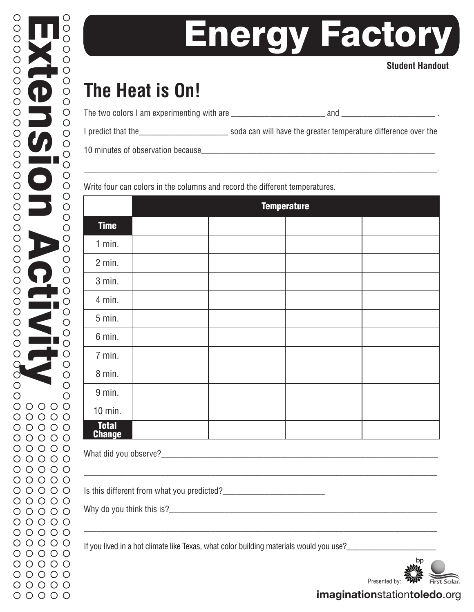#### **Student Handout**

# **The Heat is On!**

| The two colors I am experimenting with are |  |
|--------------------------------------------|--|
|--------------------------------------------|--|

I predict that the\_\_\_\_\_\_\_\_\_\_\_\_\_\_\_\_\_\_\_\_\_ soda can will have the greater temperature difference over the

\_\_\_\_\_\_\_\_\_\_\_\_\_\_\_\_\_\_\_\_\_\_\_\_\_\_\_\_\_\_\_\_\_\_\_\_\_\_\_\_\_\_\_\_\_\_\_\_\_\_\_\_\_\_\_\_\_\_\_\_\_\_\_\_\_\_\_\_\_\_\_\_\_\_\_\_\_\_\_\_\_\_\_.

10 minutes of observation because\_\_\_\_\_\_\_\_\_\_\_\_\_\_\_\_\_\_\_\_\_\_\_\_\_\_\_\_\_\_\_\_\_\_\_\_\_\_\_\_\_\_\_\_\_\_\_\_\_\_\_\_\_\_\_

Write four can colors in the columns and record the different temperatures.

|                         | <b>Temperature</b> |  |  |  |
|-------------------------|--------------------|--|--|--|
| <b>Time</b>             |                    |  |  |  |
| $1$ min.                |                    |  |  |  |
| $2$ min.                |                    |  |  |  |
| 3 min.                  |                    |  |  |  |
| 4 min.                  |                    |  |  |  |
| $5$ min.                |                    |  |  |  |
| 6 min.                  |                    |  |  |  |
| 7 min.                  |                    |  |  |  |
| 8 min.                  |                    |  |  |  |
| 9 min.                  |                    |  |  |  |
| $10$ min.               |                    |  |  |  |
| <b>Total<br/>Change</b> |                    |  |  |  |

\_\_\_\_\_\_\_\_\_\_\_\_\_\_\_\_\_\_\_\_\_\_\_\_\_\_\_\_\_\_\_\_\_\_\_\_\_\_\_\_\_\_\_\_\_\_\_\_\_\_\_\_\_\_\_\_\_\_\_\_\_\_\_\_\_\_\_\_\_\_\_\_\_\_\_\_\_\_\_\_\_\_\_

\_\_\_\_\_\_\_\_\_\_\_\_\_\_\_\_\_\_\_\_\_\_\_\_\_\_\_\_\_\_\_\_\_\_\_\_\_\_\_\_\_\_\_\_\_\_\_\_\_\_\_\_\_\_\_\_\_\_\_\_\_\_\_\_\_\_\_\_\_\_\_\_\_\_\_\_\_\_\_\_\_\_\_

What did you observe?\_\_\_\_\_\_\_\_\_\_\_\_\_\_\_\_\_\_\_\_\_\_\_\_\_\_\_\_\_\_\_\_\_\_\_\_\_\_\_\_\_\_\_\_\_\_\_\_\_\_\_\_\_\_\_\_\_\_\_\_\_\_\_\_\_

Is this different from what you predicted?\_\_\_\_\_\_\_\_\_\_\_\_\_\_\_\_\_\_\_\_\_\_\_\_

Why do you think this is?

If you lived in a hot climate like Texas, what color building materials would you use?



**imagination**station**toledo**.org